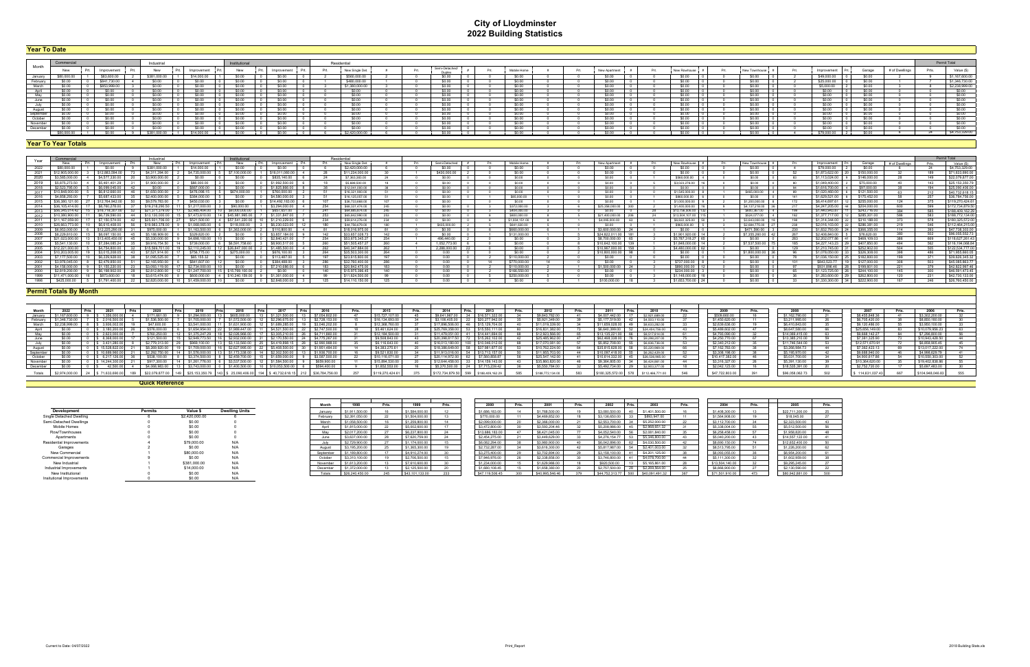# **City of Lloydminster 2022 Building Statistics**

| <b>rear To Date</b> |             |              |                |             |     |             |      |                 |      |                          |  |              |      |              |  |              |            |  |             |              |                |       |                    |
|---------------------|-------------|--------------|----------------|-------------|-----|-------------|------|-----------------|------|--------------------------|--|--------------|------|--------------|--|--------------|------------|--|-------------|--------------|----------------|-------|--------------------|
|                     |             |              |                |             |     |             |      |                 |      |                          |  |              |      |              |  |              |            |  |             |              |                |       |                    |
|                     |             |              | Industrial     |             |     |             |      | Residential     |      |                          |  |              |      |              |  |              |            |  |             |              |                |       | Permit Total       |
| Month               | New         | Improvement  | New            | Improvement | New | Improvement | Prt. | New Single Det. | Prt. | Semi-Detached/<br>Duplex |  | Mobile Home  | - Pr | New Apartmen |  | New Rowhouse | New Townho |  | Improvement | Garage       | # of Dwellings | Prts. | Value (\$)         |
|                     |             | \$83,600.00  | \$381,000.0    | \$14,000    |     |             |      | \$560,000       |      |                          |  |              |      |              |  |              | -SO 00     |  | \$49,000.00 |              |                |       | \$1,167,600.00     |
| January<br>February |             | \$841.730.00 |                |             |     | - 50.00     |      | \$480,000.00    |      |                          |  | <b>SO OO</b> |      | - SO OO      |  |              | - SO OO    |  | \$25,000.00 | - SO OO      |                |       | \$1,346,730.00     |
| March               |             | \$853,9991   |                |             |     |             |      | \$1,380,000.00  |      |                          |  |              |      |              |  |              | \$0.00     |  | \$5,000.00  | 30.OO        |                |       | \$2,238,999.00     |
|                     |             |              |                |             |     |             |      |                 |      |                          |  |              |      |              |  |              | S0.00      |  |             |              |                |       | \$0.00             |
|                     |             |              |                | sn nn       |     | .SO 00      |      |                 |      |                          |  |              |      |              |  |              | sn nn      |  |             |              |                |       | \$0.00             |
| June                |             | \$0.00       |                | \$0.00      |     | -SO 00      |      |                 |      |                          |  | \$0.00       |      | \$0.00       |  |              | \$0.00     |  | \$0.00      | \$0.00       |                |       | \$0.00             |
| July                |             | \$0.00       |                | \$0.00      |     | \$0.00      |      | SO 00           |      |                          |  | \$0.00       |      | \$0.00       |  |              | SO 00      |  | \$0.00      | <b>SO.OO</b> |                |       | \$0.00             |
|                     |             | \$0.00       |                | sn nn       |     |             |      |                 |      |                          |  |              |      | .SO 00       |  |              | \$0.00     |  |             | -SO 00-      |                |       | \$0.00             |
| August<br>September |             | SO.OO        |                |             |     |             |      |                 |      |                          |  |              |      |              |  |              |            |  |             |              |                |       | 50.00              |
| October             |             | \$0.00       |                | \$0.00      |     | .SO 00      |      | - 50.00         |      |                          |  | \$0.00       |      | \$0.00       |  |              | SO 00      |  | \$0.00      | \$0.00       |                |       | \$0.00             |
| November            |             | \$0.00       |                | \$0.00      |     | \$0.00      |      | - SO 00         |      |                          |  | \$0.00       |      | \$0.00       |  |              | \$0.00     |  | \$0.00      | \$0.00       |                |       | $\frac{1}{\$0.00}$ |
| December            |             |              |                |             |     |             |      |                 |      |                          |  |              |      |              |  |              |            |  |             |              |                |       | cn nn              |
|                     | \$80,000.00 | \$0.00       | \$381,000,00 1 | \$14,000.00 |     | ©∩ ∩∩       |      | \$2,420,000.0   |      |                          |  |              |      |              |  |              | SO OO      |  | \$79,000.00 | en nn        |                |       | \$4,753,329.00     |

| Year   | Commercia              |                | Industrial     |                     | Institutional                                     |                 |     | Residential     |       |               |  |                |  |                     |                     |                  |                   |                 |                |     | Permit Total     |
|--------|------------------------|----------------|----------------|---------------------|---------------------------------------------------|-----------------|-----|-----------------|-------|---------------|--|----------------|--|---------------------|---------------------|------------------|-------------------|-----------------|----------------|-----|------------------|
|        |                        | Improvement    | New            | Improvement         |                                                   | Improvement     |     | New Single Det. |       | Semi-Detacher |  | Mobile Home    |  | New Anartment       | New Rowhouse        | New Townhouse    |                   |                 | # of Dwellings |     | Value (\$)       |
|        |                        |                |                |                     |                                                   |                 |     | \$2,420,000.0   |       |               |  |                |  |                     |                     |                  |                   |                 |                |     | \$4,753,329.0    |
|        | \$12,905,000           |                |                |                     |                                                   |                 |     | \$11,234,000.00 |       | \$430,000.00  |  |                |  | חח ר                | SO 00               | SO 00            | \$1,873,622,00 20 | \$150,000.00    |                | 189 | \$71,633,690.00  |
| 2020   | \$3,585,000            | \$4,577,330.0  | \$3,900,000,00 |                     | \$0.00                                            | \$835 140.00    |     | \$7,363,383,00  |       | sn nn         |  |                |  | sn nn               | \$560,000.00        | \$0.00           | \$1 113 024 00    | \$146,000,00    |                | 149 | \$22,079,877.00  |
|        | \$5,875,273.5          | \$5,461,401.2  | \$1,900,000.0  | \$88,000.00         |                                                   | \$1,992,500.0   |     | \$5,688,500.00  |       | SO 00         |  | sn nn          |  | sn nn               | \$3,023,276.00      | \$0.00           | \$1,049,400.00    | \$75,000.00     |                | 143 | \$25,153,350.79  |
|        |                        | \$6,099,045.0  |                |                     |                                                   |                 |     | \$12.041.000.00 |       | sn nn         |  | sn nn          |  |                     | \$0.00              | \$0.00           | \$1.616.700.00    | \$97,000.00     |                | 194 | \$25,090,406.00  |
| 2017   | \$10.848.000.00        | \$6,812,660,00 | \$1,650,000,00 | \$476,098.15        | \$674,000,00                                      | \$760,000.00    |     | \$16,321,900.00 |       | \$0.00        |  | sn nn          |  |                     | \$1,545,000,00      | \$465,000,00     | \$1,020,460,00 6  | \$121,500.00    |                | 212 | \$40,732,618.15  |
| 2016   | \$4 858 293            | \$5,687,433.0  | \$2,400,000.0  | \$384,000.00        |                                                   |                 |     | \$16,125,057.00 |       | \$0.00        |  | \$85,000.00    |  |                     | \$860,000.00        | \$0.00           | \$1,629,521.00 8  | \$175,452.00    |                |     | \$36,784,756.00  |
| 2015   |                        | \$12 764 942   | \$9,579,783,00 |                     |                                                   |                 |     | \$36 733 668 00 | 107   |               |  |                |  |                     | \$1,000,000.00      | \$1,200,000.00   | \$641469761       | \$255,000.00    |                |     | \$119,270,424.61 |
|        |                        |                |                |                     |                                                   |                 |     | S68 331 474 0   |       |               |  | 0272000        |  | \$25,358,000.00     | \$1,400,000.0       | \$4,137,218.00   | \$4, 247, 20      | <b>S204,000</b> |                |     | \$172,734,879.50 |
| 2013   | \$56,345,014           |                |                |                     |                                                   |                 |     | \$64,885,874.00 | 245   | \$0.00        |  | \$404,000.00   |  | sn nn               | \$13,756,506.00     | \$600,367.00     | \$1,440,943.87    | \$243,716.00    |                | 585 | \$188.409.162.29 |
| 2012   |                        |                |                |                     |                                                   | \$1,331,847     |     | \$65,842,990.00 | 253   | sn nn         |  | \$800,000.00   |  | \$21,400,000.00     | \$13,504,107.00 115 | \$524,077.00     | \$1,377,717.00    | \$285,301.00    |                | 583 | \$188,772,134.00 |
|        |                        | \$7 150 574 0  | 5 031 706 0    | \$521,500.00        | \$57 541 220 00                                   |                 |     | \$59.614,276.00 | 234   | en nn         |  | \$1,004,151,00 |  | \$4,095,000.00      | \$6,822,325,00      | \$3,643,000.00   | \$1,314,344.00    | \$310,188.00    |                | 578 | \$180,325,572.00 |
|        | 2010   \$26.663.773.00 | 10 5661540800  |                |                     | 56 S19.983.378.00 9 \$1.068.065.00 6 \$118.000.00 | 3 56.230.023.00 |     | \$44,756,679.00 | 180   | \$435,000,00  |  | \$641 630 00   |  | SO 00               | \$965,000,00 5      | \$2.684.775.00 2 | \$2,016,103,00 22 | \$286,381.00    | -219           | 546 | \$112,464,215.00 |
| 2009   | \$6.953.000            | \$12,225,290.0 | \$975,000,00   | \$1,163,500,00      | \$1,363,000.00                                    | \$110,800.00    |     | \$18,016,975.00 |       |               |  | \$660,000.0    |  | \$3,600,000.00      | en nn               | \$471,590.00     | \$1,832,793,00    | \$366 355 00    |                |     | \$47,738,303.00  |
| 2008   |                        |                |                |                     |                                                   |                 | 149 | \$33,657,028.7  | 142   | <b>CO OD</b>  |  | \$131,000.0    |  | \$24 822 011 00 181 | \$1,901,920.00      | \$7,355,260.00   | \$2,408,840.00    | \$76,620.00     |                | 502 | \$96,055,552.73  |
|        |                        |                |                |                     |                                                   |                 |     | \$53 675 345 2  |       | 496 440 00    |  |                |  | \$8,700,000.00      | \$5,787,318,27      |                  |                   | \$469 109 03    |                |     | 118.627.261.43   |
| - 2006 |                        | \$7,284,085    | \$9 916 754 50 | \$739,000.00        | \$6,591,758.60                                    | \$8,900.517     |     | \$51,505,457.2  |       | 1 052 773 00  |  |                |  | \$10.642.100.00 139 | \$1,848,000.00 14   | \$7,537,500,00   | \$4 227 143 23    | \$407,850.00    |                | 562 | \$116,194,068.84 |
|        | $-2210000$             | \$4,754,800.0  | 5 569 701 00   | \$2 110 245 00      | \$26,847,000.00                                   | \$1,485,500.00  |     | \$40,347,884.00 | 262   | 2.288.000.00  |  |                |  | \$10.967.000.00 158 | \$4,480,000.00      | SO 00            | \$1 210 745 00    | \$252,902.00    |                | 505 | \$122,534,777.00 |
|        |                        | \$3 015 208 05 | \$7,521,914.00 | \$756.775.00        | S275.000.00.                                      | \$676 100.00    |     | \$35,503,300.00 | - 264 |               |  | 50. QO         |  | \$10,800,000,00 98  | SO 00               | \$1,800,000,00   | \$1.078.050.00 L  | \$326,308.00    |                | 486 | \$71,955,660.05  |
|        |                        |                |                |                     |                                                   | \$113,487.00    |     | \$23,615,800.00 | 197   |               |  | \$110,000.0    |  | sn nn               | SQ 00               | sn nn            | \$1,036,150,00    | \$182 800 00    |                |     | \$39,626,345.32  |
| 2002   |                        |                |                |                     |                                                   |                 |     | \$32,760,400.0  |       |               |  | \$770,000.00   |  |                     | \$737,000.00        |                  | \$843,523.77      | \$127,000.00    |                | 503 | \$45,085,863.77  |
| 2001   |                        |                |                |                     |                                                   |                 |     | \$20,842,475.00 | 183   |               |  | \$110,000,0    |  | \$1,500,000,00      | \$890,000.00        |                  | \$931 896 46      | \$199,601.00    |                | 379 | \$42,822,997.46  |
| 2000   |                        |                | \$2 812 800 0  |                     |                                                   |                 |     | \$15,975,396.45 | 140   |               |  | \$166,550.00   |  | n nn                | \$234,000.00        |                  |                   | \$244 100 00    |                | 300 | \$46,591,473.45  |
|        |                        | \$873,600,00   | \$3 615 474 00 |                     |                                                   | \$1.361.000.00  |     | \$11,624,500.0  |       |               |  | \$250,000.0    |  |                     | \$1,148,00000       |                  | \$1.283.600.00    | \$262,800,00    |                |     | \$42,730,133.00  |
|        | \$425,000.00           | \$1,791,400.00 |                | 10   \$1.459.000.00 |                                                   |                 |     | \$14 110 150 0  |       |               |  |                |  | \$100,000,00        | \$1,653,700,00      |                  | \$1.330.300.00 34 | \$222,900.00    |                |     | \$26,760,450.00  |

| Month    |  | - 2021        |                        |                                          |              |                |                  | Prts | -2016                  | Prts. | - 2015           | Prts. | 2014                    | I Prts | 2013                         | Prts. |                | Prte | - 2011          | Prts. | - 2010                             |                 | Prte | - 2008          |                   |                  | Prts. |
|----------|--|---------------|------------------------|------------------------------------------|--------------|----------------|------------------|------|------------------------|-------|------------------|-------|-------------------------|--------|------------------------------|-------|----------------|------|-----------------|-------|------------------------------------|-----------------|------|-----------------|-------------------|------------------|-------|
| January  |  |               | $31/1$ bb1 $($         | \$1 294 000                              | \$605.0      |                | 321,500.0        |      | \$7 054 802            |       | \$15 727 107     |       | \$9,641,967,00          |        | \$16,571,322                 |       | \$9,843,782.0  |      | \$4,007,442.00  |       | \$2,921,689.00                     | \$509,660.00    |      | \$1,162,790.00  | \$8,455,848,36    | \$3,302,200      |       |
| February |  |               | \$1,536,500            | \$1,705,000.0                            | $*1.572.500$ |                | - \$2.296.675.0  |      | 12 728 153 00          |       | \$16 134 693     |       | \$3 106 405 00          |        | \$20,277,942.00              |       | \$5,921,349.0  |      |                 | 42    | \$4,503,110,00                     | \$1,450,620.00  | 11   | \$3 211 995 00  | \$6,705,420.00    | \$8,850,180      |       |
| March    |  |               |                        |                                          |              |                |                  |      | .046.202               |       |                  |       | \$17,896                |        |                              |       |                |      |                 |       | \$8,633,282.00                     | \$2,639,636.00  |      | \$6,410,843.0   | \$9,120,486       | \$3.950.100      |       |
| April    |  |               | \$576,000.             | \$1,654,954.00                           | \$1.989.447  |                | 521 500 (        |      | 2747500                |       | \$5,461,624.00   |       | \$25 769 358 0          |        |                              |       | \$16,831,382.  |      | \$6,640,399     |       | \$24,404,756.00                    | \$5,489,602.00  | 47   | \$8,647,580.00  | \$25,656,149.00   | \$10.079.956.23  |       |
| Mav      |  |               |                        |                                          |              | 026.966        |                  |      | 711 860                |       | \$12,184,500.0   |       | \$11,479,051.00         |        | \$14,441,694.                |       | \$12,923,566.0 |      |                 |       | \$8,517,814.00                     | \$4,793,090.00  |      | \$14,069,415.0  | \$9,668,142.27    | \$7,296,800.0    |       |
| June     |  | 8.3680        | \$121,500.0            | \$2,949.7                                | \$2 932 NNO  |                |                  |      |                        |       | \$9,508,843.0    |       |                         |        | \$15, 262.1                  |       | \$25 485 962 1 |      | 62 468 338      |       | \$9,298,207.00                     | \$4,250,770.00  | C7   | \$13,385,210.0  | \$7,381,325.90    | \$10.943.428.50  |       |
| . lulv   |  | 3 4 3 1 2 8 0 | \$2,779,313            | \$969 100 00                             | \$3,133,560  |                | \$4,419,898.1    |      | 2990988                |       | \$6,116,643.00   |       | \$16,013,180,00         | I 100. | $\frac{1}{2}$ S10.046 012.22 |       | \$17,070,081   |      | \$5,852,708,00  |       | \$6,836,736,00                     | \$2,340,212.00  |      | \$11,746,544.00 | \$12,571,670,91   | \$6,858,905.45   |       |
| August   |  | 15.528.822    |                        | .709.000.0                               | \$2 627 995  |                |                  |      | \$1 951 484 00         |       | \$4 383 270 6    |       |                         |        | \$37 981 877 /               |       | \$10,762,224.0 |      | \$35 815 628    |       | \$5,220,969.00                     | \$7,162,783.00  |      | \$3 266 984 7   | \$7,362,423,13    | \$13,017,222.0   |       |
| Septemb  |  |               |                        | \$1,576,000.0                            |              | 73 338         | \$2,302,500.00   |      | 1 936 700              |       | \$9,521,830.0    |       | \$11,913,016.0          |        |                              |       | \$11,955,703   |      | \$10,097,418,00 |       | \$6,262,429.00                     | \$3,308,198,00  |      | \$5,195,970.00  | \$9,688,940.00    | \$4 998 629      |       |
| Octobe   |  |               |                        |                                          |              |                |                  |      | \$3,587,500            |       | \$10,116,071     |       | \$20 114 972 0          |        | \$7,560,858                  |       | \$25,547,142.0 |      | \$10,614,332    | - 45  | \$26,536,985.00                    | \$10 417 382 00 |      | \$5,031,700.00  | \$4,900,617.86    | \$10,550,303     |       |
| November |  |               |                        |                                          |              |                |                  |      | \$659.900.0            |       | 15.894.5         |       | S <sub>12</sub> 644 458 |        | \$14 159 143                 |       |                |      | 59 . 364 a      |       | \$6,424,861.0                      |                 |      | \$5,391,130.00  | \$10,364,620      | \$19,402,838.    |       |
| December |  |               | \$4 068 983 0          | \$3,743,000.00                           |              | \$1.400.500.00 | 10 510 053 500 0 |      | \$594,400.00           |       | \$1,852,553,00   |       | - \$5.370.500.00        | 1/4    | \$7.715.239.42               |       | \$5,550,7840   |      | \$5,492,734.00  |       | \$2,903,377,00                     | \$2,042,123,00  |      | \$18,535,391.00 | \$2,752,720.00    | \$5,697,483,00   |       |
|          |  | 71 622 600 0  | <b>022 079 877 00</b>  | 149 \$25 153 350 79 143 \$ 25 090 406 00 |              |                | 40.722.619.1     |      | $1.212$ $0.36784756$ 0 |       | \$119 270 424 61 |       | \$172,734,879.50 599    |        | \$188,409,162                |       |                |      |                 |       | \$180 325 572 00 578 \$112 466 771 | 0477200         | 204  | \$96,058,062.7  | $8 - 114.631.027$ | \$104,948.046.92 |       |
|          |  |               | <b>Quick Reference</b> |                                          |              |                |                  |      |                        |       |                  |       |                         |        |                              |       |                |      |                 |       |                                    |                 |      |                 |                   |                  |       |

|           |         |                                   |                       | Monti     |                 | Dete. |                 | Prts.           | 2000            | Prts. | 2001            | Prts. | 2002            | Prts. | 2003            | Prts. |
|-----------|---------|-----------------------------------|-----------------------|-----------|-----------------|-------|-----------------|-----------------|-----------------|-------|-----------------|-------|-----------------|-------|-----------------|-------|
|           | Permits | Value !                           | <b>Dwelling Units</b> | January   | \$1,911,500.00  |       | \$1,584,000.00  |                 | \$1,686,183,00  |       | \$1,768,500.00  |       | \$3,080,500.0   |       | \$1,401,500.00  |       |
| Dwellin   |         | \$2,420,000.00                    |                       | February  | \$2,391,050.00  |       | \$1,504,000.00  |                 | \$770,000.00    |       | \$4,469,852.00  |       | \$3,136,650.0   |       | \$893,947.00    |       |
| Dwelling: |         | \$0.00                            |                       | March     | \$1.058,500.00  |       | \$1,259,800.00  |                 | \$2,099,000.00  |       | \$2,366,000.00  |       | \$2,553,700.00  |       | \$5,252,000.00  |       |
|           |         | \$0.00                            |                       | Anril     | \$1,815,000.00  |       | \$5,002,600.00  |                 | \$3,472,800.00  |       | \$3,593,204.46  |       | \$5,208,986.    |       | \$2,968,651.32  |       |
|           |         | \$0.00                            |                       | Mav       | \$2,017,200.00  |       | \$6,237,800.00  |                 | \$13,686,183.00 |       | \$8,421,045.00  |       | \$4,052,540.    |       | \$2,081,840.00  |       |
|           |         | \$0.00                            |                       | June      | \$3,637,000.00  |       | \$7,620,759.00  |                 | \$2,454,275.00  |       | \$3,449,629.0   |       | \$4,276,154,77  |       | \$5,346,800.00  |       |
| ovements  |         | \$79,000.00                       | N/A                   |           | \$2,729,900.00  |       | \$1,174,000.00  |                 | \$6,082,294.00  |       | \$3,980,900.00  |       | \$6,042,896.00  |       | \$4,030,500.00  |       |
|           |         | \$0.00                            |                       | August    | \$3,195,200.00  |       | \$1,365,300.00  |                 | \$2,732,287.00  |       | \$3,616,300.00  |       | \$5,817,987.00  |       | \$2,401,003.00  |       |
|           |         | \$80,000.00                       | N/A                   | September | \$1,189,800.00  |       | \$4,910,274.00  | 20 <sup>1</sup> | \$3,275,400.00  |       | \$3,702,894.00  |       | \$3,158,100.00  |       | \$4,201,125.00  |       |
| ovements  |         | \$0.00                            |                       | October   | \$3,310,100.00  |       | \$2,706,500.00  |                 | \$7,946,976.00  |       | \$2,338,856.00  |       | \$3,746,800.0   |       | \$4,078,700.00  |       |
|           |         | \$381,000.00                      | N/A                   | November  | \$1,613,200.00  |       | \$7,610,600.00  |                 | \$1,234,000.00  |       | \$1,629,986.0   |       | \$920,500.0     |       | \$5,165,861.00  | -40   |
| vements   |         | \$14,000.00                       | N/A                   | December  | \$1,372,000.00  |       | \$2,125,500.00  |                 | \$1,680,108.45  |       | \$1,658,380.0   |       | \$2,757,500.00  |       | \$2,269,564.00  |       |
| onal      |         | \$0.00                            |                       | Totals    | \$26,240,450.00 | 245   | \$43,101.133.00 | 222             | \$47,119,506.45 |       | \$40,995,546.4F | 379   | \$44,752,313,77 | 500   | \$40.091.491.32 |       |
|           |         | the company's company's company's |                       |           |                 |       |                 |                 |                 |       |                 |       |                 |       |                 |       |

| Development                     | <b>Permits</b> | Value \$       | <b>Dwelling Units</b> |
|---------------------------------|----------------|----------------|-----------------------|
| Single Detached Dwelling        | 6              | \$2,420,000.00 | 6                     |
| Semi-Detached Dwellings         |                | \$0.00         | Ω                     |
| Mobile Homes                    |                | \$0.00         | 0                     |
| Row/Townhouses                  |                | \$0.00         | 0                     |
| Apartments                      |                | \$0.00         | 0                     |
| <b>Residential Improvements</b> | 4              | \$79,000.00    | N/A                   |
| Garages                         | 2              | \$0.00         | N/A                   |
| New Commercial                  |                | \$80,000.00    | N/A                   |
| <b>Commercial Improvements</b>  | 9              | \$0.00         | N/A                   |
| New Industrial                  |                | \$381,000.00   | N/A                   |
| Industrial Improvements         |                | \$14,000.00    | N/A                   |
| New Institutional               | 0              | \$0.00         | N/A                   |
| Insitutional Improvements       | Ω              | \$0.00         | N/A                   |

|  |  | <b>Year To Date</b> |  |  |
|--|--|---------------------|--|--|
|  |  |                     |  |  |
|  |  |                     |  |  |

#### **Year To Year Totals**

### **Permit Totals By Month**

| Month     | 1998            | Prts. | 1999            | Prts. |
|-----------|-----------------|-------|-----------------|-------|
| January   | \$1,911,500.00  | 16    | \$1,584,000.00  | 12    |
| February  | \$2,391,050.00  | 22    | \$1,504,000.00  | 13    |
| March     | \$1,058,500.00  | 16    | \$1,259,800.00  | 14    |
| April     | \$1,815,000.00  | 22    | \$5,002,600.00  | 17    |
| May       | \$2,017,200.00  | 27    | \$6,237,800.00  | 24    |
| June      | \$3,637,000.00  | 28    | \$7,620,759.00  | 24    |
| July      | \$2,729,900.00  | 27    | \$1,174,000.00  | 15    |
| August    | \$3,195,200.00  | 25    | \$1,365,300.00  | 19    |
| September | \$1,189,800.00  | 17    | \$4,910,274.00  | 30    |
| October   | \$3,310,100.00  | 19    | \$2,706,500.00  | 15    |
| November  | \$1,613,200.00  | 13    | \$7,610,600.00  | 30    |
| December  | \$1,372,000.00  | 13    | \$2,125,500.00  | 20    |
| Totals    | \$26.240.450.00 | 245   | \$43.101.133.00 | 233   |

| 2005            | Prts. |
|-----------------|-------|
| \$22,711,300.00 | 25    |
| \$18,045.00     | 27    |
| \$2,323,500.00  | 43    |
| \$5,512,500.00  | 56    |
| \$1,958,820.00  | 48    |
| \$14,557,122.00 | 41    |
| \$12.652.400.00 | 50    |
| \$1,226,200.00  | 62    |
| \$6,954,200.00  | 61    |
| \$1,602,959.00  | 38    |
| \$9,295,245.00  | 27    |
| \$2,130,590.00  | 22    |
| \$80.942.881.00 | 500   |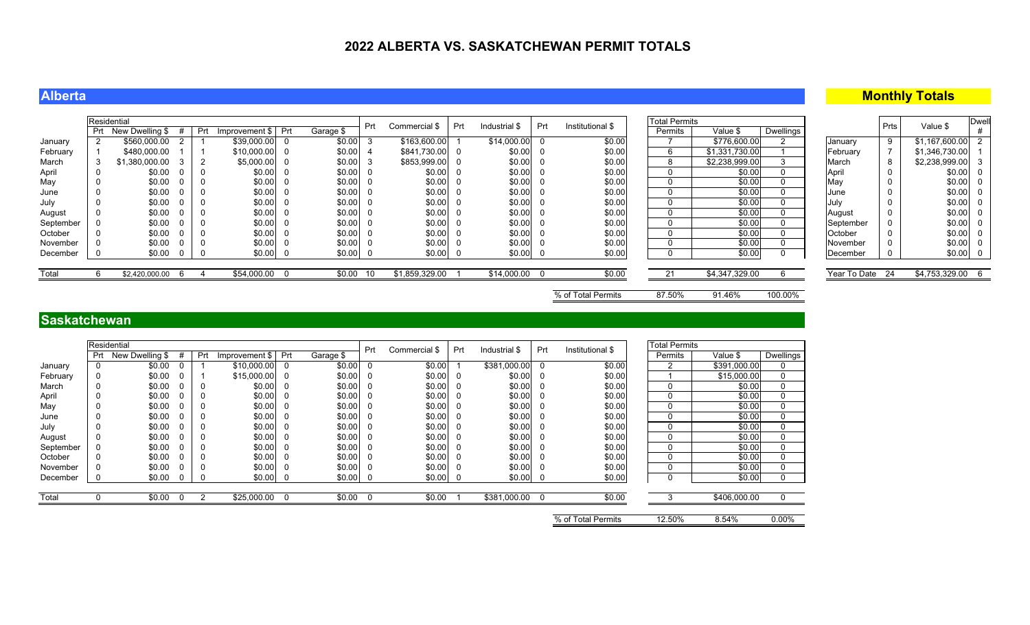### **Alberta**

### **Monthly Totals**

|                 |     | Residential     |    |     |                  |     |           | Prt | Commercial \$  | Prt | Industrial \$ | Prt | Institutional \$ | <b>Total Permits</b> |                |           |              | Prts | Value \$          | <b>Dwel</b> |
|-----------------|-----|-----------------|----|-----|------------------|-----|-----------|-----|----------------|-----|---------------|-----|------------------|----------------------|----------------|-----------|--------------|------|-------------------|-------------|
|                 | Prt | New Dwelling \$ |    | Prt | Improvement \$ I | Pri | Garage \$ |     |                |     |               |     |                  | Permits              | Value \$       | Dwellings |              |      |                   |             |
| January         |     | \$560,000.00    |    |     | \$39,000.00      |     | \$0.00    |     | \$163,600.00   |     | \$14,000.00   |     | \$0.00           |                      | \$776,600.00   |           | January      |      | \$1,167,600.00    |             |
| <b>February</b> |     | \$480,000.00    |    |     | \$10,000,00 0    |     | \$0.00    |     | \$841,730.00   |     | \$0.00        |     | \$0.00           |                      | \$1,331,730.00 |           | February     |      | \$1,346,730.00    |             |
| March           |     | \$1,380,000.00  |    |     | $$5,000.00$ 0    |     | \$0.00    |     | \$853,999.00   |     | \$0.00        |     | \$0.00           |                      | \$2,238,999.00 |           | March        |      | $$2,238,999.00$ 3 |             |
| April           |     | \$0.00          |    |     | \$0.00           |     | \$0.00    |     | \$0.00         |     | \$0.00        |     | \$0.00           |                      | \$0.00         |           | April        |      | $$0.00$ 0         |             |
| May             |     | \$0.00          |    |     | \$0.00           |     | \$0.00    |     | \$0.00         |     | \$0.00        |     | \$0.00           |                      | \$0.00         |           | May          |      | \$0.00 0          |             |
| June            |     | \$0.00          |    |     | \$0.00           |     | \$0.00    |     | \$0.00         |     | \$0.00        |     | \$0.00           |                      | \$0.00         |           | June         |      | \$0.00 0          |             |
| July            |     | \$0.00          |    |     | \$0.00           |     | \$0.00    |     | \$0.00         |     | \$0.00        |     | \$0.00           |                      | \$0.00         |           | July         |      | $$0.00$ 0         |             |
| August          |     | \$0.00          |    |     | \$0.00           |     | \$0.00    |     | \$0.00         |     | \$0.00        |     | \$0.00           |                      | \$0.00         |           | August       |      | $$0.00$ 0         |             |
| September       |     | \$0.00          |    |     | \$0.00           |     | \$0.00    |     | \$0.00         |     | \$0.00        |     | \$0.00           |                      | \$0.00         |           | September    |      | $$0.00$ 0         |             |
| October         |     | \$0.00          |    |     | \$0.00           |     | \$0.00    |     | \$0.00         |     | \$0.00        |     | \$0.00           |                      | \$0.00         |           | October      |      | \$0.00 0          |             |
| November        |     | \$0.00          |    |     | \$0.00           |     | \$0.00    |     | \$0.00         |     | \$0.00        |     | \$0.00           |                      | \$0.00         |           | November     |      | \$0.00 0          |             |
| December        |     | \$0.00          | 0  |     | \$0.00 0         |     | \$0.00    |     | \$0.00         |     | \$0.00        |     | \$0.00           |                      | \$0.00         |           | December     |      | $$0.00$ 0         |             |
|                 |     |                 |    |     |                  |     |           |     |                |     |               |     |                  |                      |                |           |              |      |                   |             |
| Total           |     | \$2,420,000.00  | -6 |     | \$54,000.00 0    |     | \$0.00    | -10 | \$1,859,329.00 |     | \$14,000.00   |     | \$0.00           | 21                   | \$4,347,329.00 |           | Year To Date | - 24 | \$4,753,329.00 6  |             |
|                 |     |                 |    |     |                  |     |           |     |                |     |               |     |                  |                      |                |           |              |      |                   |             |

% of Total Permits 87.50% 91.46% 100.00%

### **Saskatchewan**

|           |     | Residential     |     |                |          |           | Prt |               | Prt | Industrial \$ | Prt      | Institutional \$   | <b>Total Permits</b> |              |             |
|-----------|-----|-----------------|-----|----------------|----------|-----------|-----|---------------|-----|---------------|----------|--------------------|----------------------|--------------|-------------|
|           | Prt | New Dwelling \$ | Prt | Improvement \$ | Prt      | Garage \$ |     | Commercial \$ |     |               |          |                    | Permits              | Value \$     | Dwellings   |
| January   | 0   | \$0.00          |     | \$10,000.00    | 0        | \$0.00    |     | \$0.00        |     | \$381,000.00  | $\Omega$ | \$0.00             | 2                    | \$391,000.00 | 0           |
| February  | 0   | \$0.00          |     | \$15,000.00    | 0        | \$0.00    | -0  | \$0.00        |     | \$0.00        | 0        | \$0.00             |                      | \$15,000.00  | 0           |
| March     | 0   | \$0.00          | 0   | \$0.00         | 0        | \$0.00    |     | \$0.00        |     | \$0.00        | 0        | \$0.00             | 0                    | \$0.00       | 0           |
| April     | 0   | \$0.00          | 0   | \$0.00         | 0        | \$0.00    |     | \$0.00        |     | \$0.00        | 0        | \$0.00             | 0                    | \$0.00       | 0           |
| May       | 0   | \$0.00          | 0   | \$0.00         | -0       | \$0.00    |     | \$0.00        |     | \$0.00        | 0        | \$0.00             | 0                    | \$0.00       | 0           |
| June      |     | \$0.00          | 0   | \$0.00         | -0       | \$0.00    |     | \$0.00        |     | \$0.00        | 0        | \$0.00             | 0                    | \$0.00       | 0           |
| July      | 0   | \$0.00          | 0   | \$0.00         | -0       | \$0.00    |     | \$0.00        |     | \$0.00        | 0        | \$0.00             | 0                    | \$0.00       | 0           |
| August    | 0   | \$0.00          | 0   | \$0.00         | -0       | \$0.00    |     | \$0.00        |     | \$0.00        | 0        | \$0.00             | 0                    | \$0.00       | 0           |
| September | 0   | \$0.00          | 0   | \$0.00         | -0       | \$0.00    |     | \$0.00        | 0   | \$0.00        | 0        | \$0.00             | 0                    | \$0.00       | 0           |
| October   | 0   | \$0.00          | 0   | \$0.00         | -0       | \$0.00    |     | \$0.00        | 0   | \$0.00        | 0        | \$0.00             | 0                    | \$0.00       | 0           |
| November  | 0   | \$0.00          | 0   | \$0.00         | 0        | \$0.00    |     | \$0.00        |     | \$0.00        | 0        | \$0.00             | $\mathbf{0}$         | \$0.00       | 0           |
| December  | 0   | \$0.00          | 0   | \$0.00         | $\bf{0}$ | \$0.00    | - 0 | \$0.00        | 0   | \$0.00        | 0        | \$0.00             | 0                    | \$0.00       | $\mathbf 0$ |
|           |     |                 |     |                |          |           |     |               |     |               |          |                    |                      |              |             |
| Total     |     | \$0.00          |     | \$25,000.00    | $\Omega$ | \$0.00    |     | \$0.00        |     | \$381,000.00  |          | \$0.00             |                      | \$406,000.00 |             |
|           |     |                 |     |                |          |           |     |               |     |               |          | % of Total Permits | 12.50%               | 8.54%        | $0.00\%$    |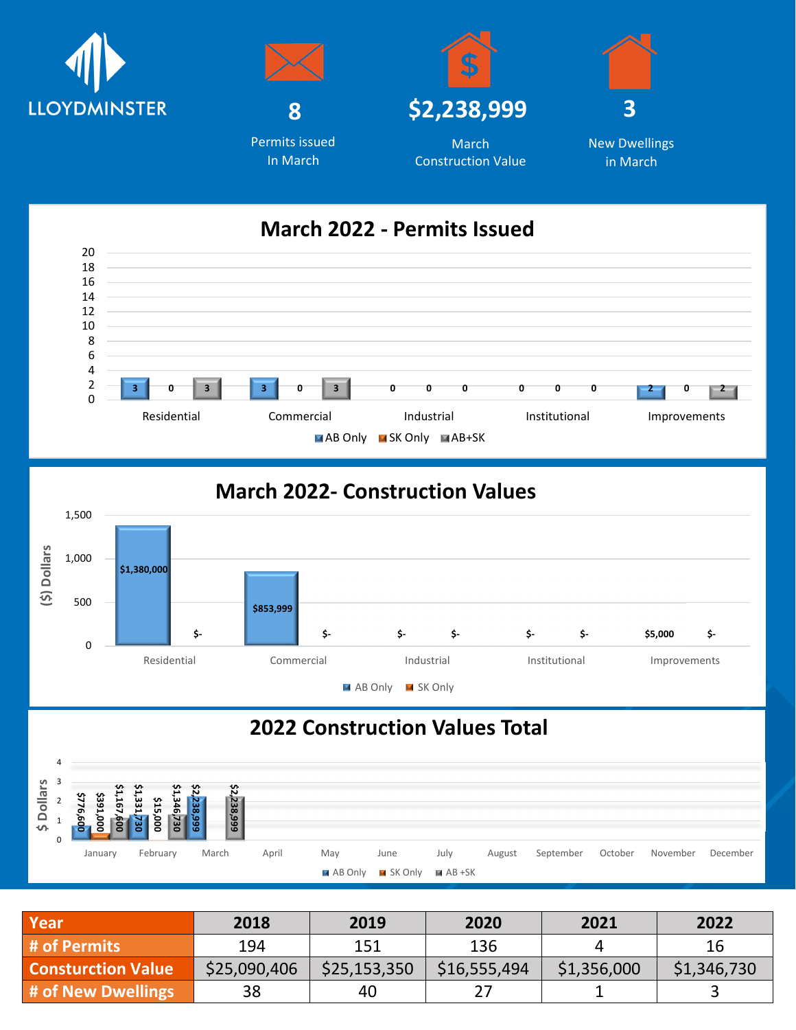



In March







New Dwellings in March

## **March 2022 - Permits Issued**



## **March 2022- Construction Values**



## **2022 Construction Values Total**



| Year                      | 2018         | 2019         | 2020         | 2021        | 2022        |
|---------------------------|--------------|--------------|--------------|-------------|-------------|
| # of Permits              | 194          | 151          | 136          |             | 16          |
| <b>Consturction Value</b> | \$25,090,406 | \$25,153,350 | \$16,555,494 | \$1,356,000 | \$1,346,730 |
| # of New Dwellings        | 38           | 40           |              |             |             |